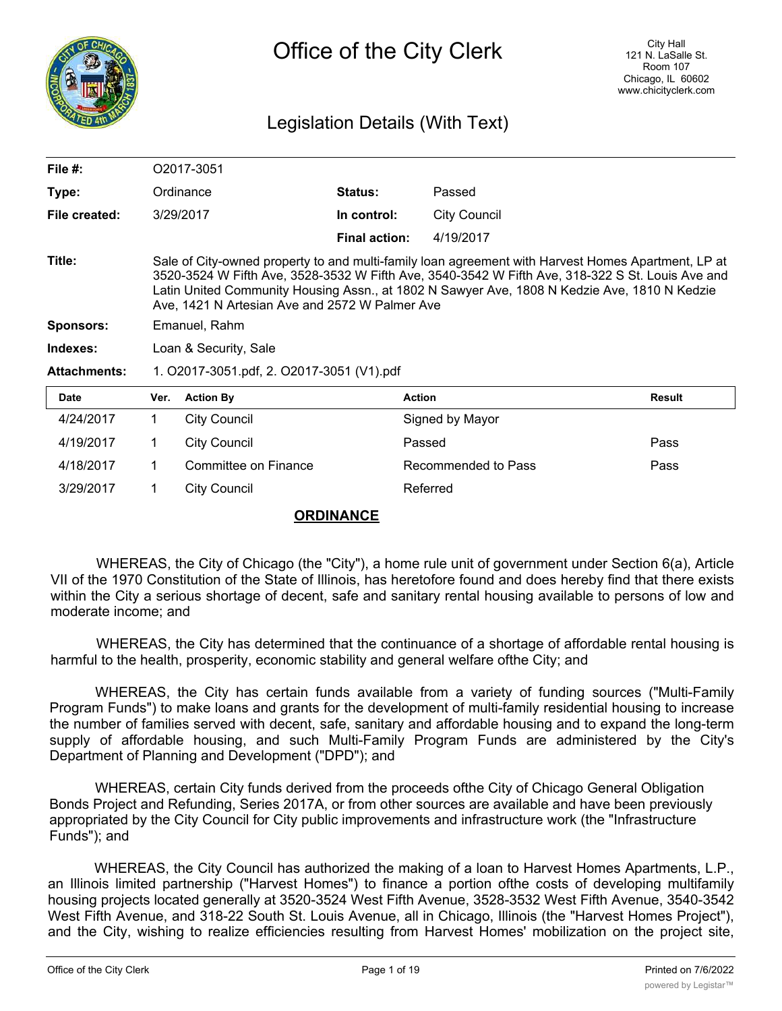

# Legislation Details (With Text)

| File $#$ :          | O2017-3051                                                                                                                                                                                                                                                                                                                                               |                     |                |                     |               |  |  |
|---------------------|----------------------------------------------------------------------------------------------------------------------------------------------------------------------------------------------------------------------------------------------------------------------------------------------------------------------------------------------------------|---------------------|----------------|---------------------|---------------|--|--|
| Type:               | Ordinance                                                                                                                                                                                                                                                                                                                                                |                     | <b>Status:</b> | Passed              |               |  |  |
| File created:       | 3/29/2017                                                                                                                                                                                                                                                                                                                                                |                     | In control:    | <b>City Council</b> |               |  |  |
|                     |                                                                                                                                                                                                                                                                                                                                                          |                     | Final action:  | 4/19/2017           |               |  |  |
| Title:              | Sale of City-owned property to and multi-family loan agreement with Harvest Homes Apartment, LP at<br>3520-3524 W Fifth Ave, 3528-3532 W Fifth Ave, 3540-3542 W Fifth Ave, 318-322 S St. Louis Ave and<br>Latin United Community Housing Assn., at 1802 N Sawyer Ave, 1808 N Kedzie Ave, 1810 N Kedzie<br>Ave, 1421 N Artesian Ave and 2572 W Palmer Ave |                     |                |                     |               |  |  |
| <b>Sponsors:</b>    | Emanuel, Rahm                                                                                                                                                                                                                                                                                                                                            |                     |                |                     |               |  |  |
| Indexes:            | Loan & Security, Sale                                                                                                                                                                                                                                                                                                                                    |                     |                |                     |               |  |  |
| <b>Attachments:</b> | 1. O2017-3051.pdf, 2. O2017-3051 (V1).pdf                                                                                                                                                                                                                                                                                                                |                     |                |                     |               |  |  |
| <b>Date</b>         | Ver.                                                                                                                                                                                                                                                                                                                                                     | <b>Action By</b>    |                | <b>Action</b>       | <b>Result</b> |  |  |
| 4/24/2017           | 1.                                                                                                                                                                                                                                                                                                                                                       | <b>City Council</b> |                | Signed by Mayor     |               |  |  |

| 4/24/2017 | City Council         | Signed by Mayor     |      |
|-----------|----------------------|---------------------|------|
| 4/19/2017 | City Council         | Passed              | Pass |
| 4/18/2017 | Committee on Finance | Recommended to Pass | Pass |
| 3/29/2017 | City Council         | Referred            |      |

### **ORDINANCE**

WHEREAS, the City of Chicago (the "City"), a home rule unit of government under Section 6(a), Article VII of the 1970 Constitution of the State of Illinois, has heretofore found and does hereby find that there exists within the City a serious shortage of decent, safe and sanitary rental housing available to persons of low and moderate income; and

WHEREAS, the City has determined that the continuance of a shortage of affordable rental housing is harmful to the health, prosperity, economic stability and general welfare ofthe City; and

WHEREAS, the City has certain funds available from a variety of funding sources ("Multi-Family Program Funds") to make loans and grants for the development of multi-family residential housing to increase the number of families served with decent, safe, sanitary and affordable housing and to expand the long-term supply of affordable housing, and such Multi-Family Program Funds are administered by the City's Department of Planning and Development ("DPD"); and

WHEREAS, certain City funds derived from the proceeds ofthe City of Chicago General Obligation Bonds Project and Refunding, Series 2017A, or from other sources are available and have been previously appropriated by the City Council for City public improvements and infrastructure work (the "Infrastructure Funds"); and

WHEREAS, the City Council has authorized the making of a loan to Harvest Homes Apartments, L.P., an Illinois limited partnership ("Harvest Homes") to finance a portion ofthe costs of developing multifamily housing projects located generally at 3520-3524 West Fifth Avenue, 3528-3532 West Fifth Avenue, 3540-3542 West Fifth Avenue, and 318-22 South St. Louis Avenue, all in Chicago, Illinois (the "Harvest Homes Project"), and the City, wishing to realize efficiencies resulting from Harvest Homes' mobilization on the project site,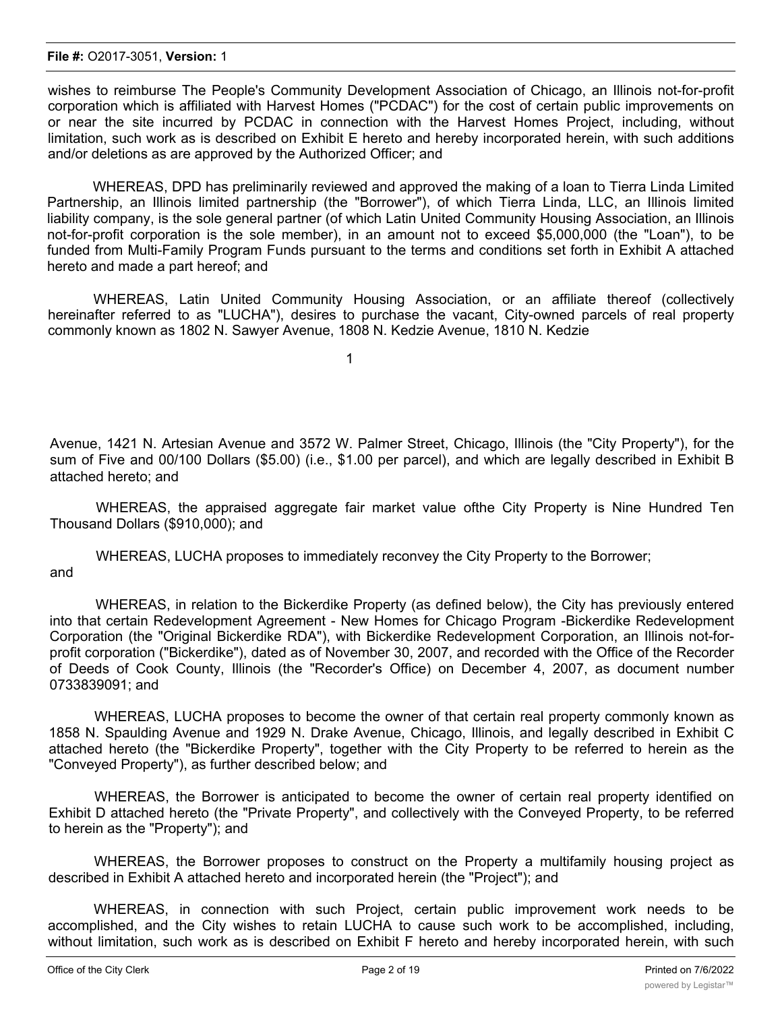wishes to reimburse The People's Community Development Association of Chicago, an Illinois not-for-profit corporation which is affiliated with Harvest Homes ("PCDAC") for the cost of certain public improvements on or near the site incurred by PCDAC in connection with the Harvest Homes Project, including, without limitation, such work as is described on Exhibit E hereto and hereby incorporated herein, with such additions and/or deletions as are approved by the Authorized Officer; and

WHEREAS, DPD has preliminarily reviewed and approved the making of a loan to Tierra Linda Limited Partnership, an Illinois limited partnership (the "Borrower"), of which Tierra Linda, LLC, an Illinois limited liability company, is the sole general partner (of which Latin United Community Housing Association, an Illinois not-for-profit corporation is the sole member), in an amount not to exceed \$5,000,000 (the "Loan"), to be funded from Multi-Family Program Funds pursuant to the terms and conditions set forth in Exhibit A attached hereto and made a part hereof; and

WHEREAS, Latin United Community Housing Association, or an affiliate thereof (collectively hereinafter referred to as "LUCHA"), desires to purchase the vacant, City-owned parcels of real property commonly known as 1802 N. Sawyer Avenue, 1808 N. Kedzie Avenue, 1810 N. Kedzie

1

Avenue, 1421 N. Artesian Avenue and 3572 W. Palmer Street, Chicago, Illinois (the "City Property"), for the sum of Five and 00/100 Dollars (\$5.00) (i.e., \$1.00 per parcel), and which are legally described in Exhibit B attached hereto; and

WHEREAS, the appraised aggregate fair market value ofthe City Property is Nine Hundred Ten Thousand Dollars (\$910,000); and

WHEREAS, LUCHA proposes to immediately reconvey the City Property to the Borrower; and

WHEREAS, in relation to the Bickerdike Property (as defined below), the City has previously entered into that certain Redevelopment Agreement - New Homes for Chicago Program -Bickerdike Redevelopment Corporation (the "Original Bickerdike RDA"), with Bickerdike Redevelopment Corporation, an Illinois not-forprofit corporation ("Bickerdike"), dated as of November 30, 2007, and recorded with the Office of the Recorder of Deeds of Cook County, Illinois (the "Recorder's Office) on December 4, 2007, as document number 0733839091; and

WHEREAS, LUCHA proposes to become the owner of that certain real property commonly known as 1858 N. Spaulding Avenue and 1929 N. Drake Avenue, Chicago, Illinois, and legally described in Exhibit C attached hereto (the "Bickerdike Property", together with the City Property to be referred to herein as the "Conveyed Property"), as further described below; and

WHEREAS, the Borrower is anticipated to become the owner of certain real property identified on Exhibit D attached hereto (the "Private Property", and collectively with the Conveyed Property, to be referred to herein as the "Property"); and

WHEREAS, the Borrower proposes to construct on the Property a multifamily housing project as described in Exhibit A attached hereto and incorporated herein (the "Project"); and

WHEREAS, in connection with such Project, certain public improvement work needs to be accomplished, and the City wishes to retain LUCHA to cause such work to be accomplished, including, without limitation, such work as is described on Exhibit F hereto and hereby incorporated herein, with such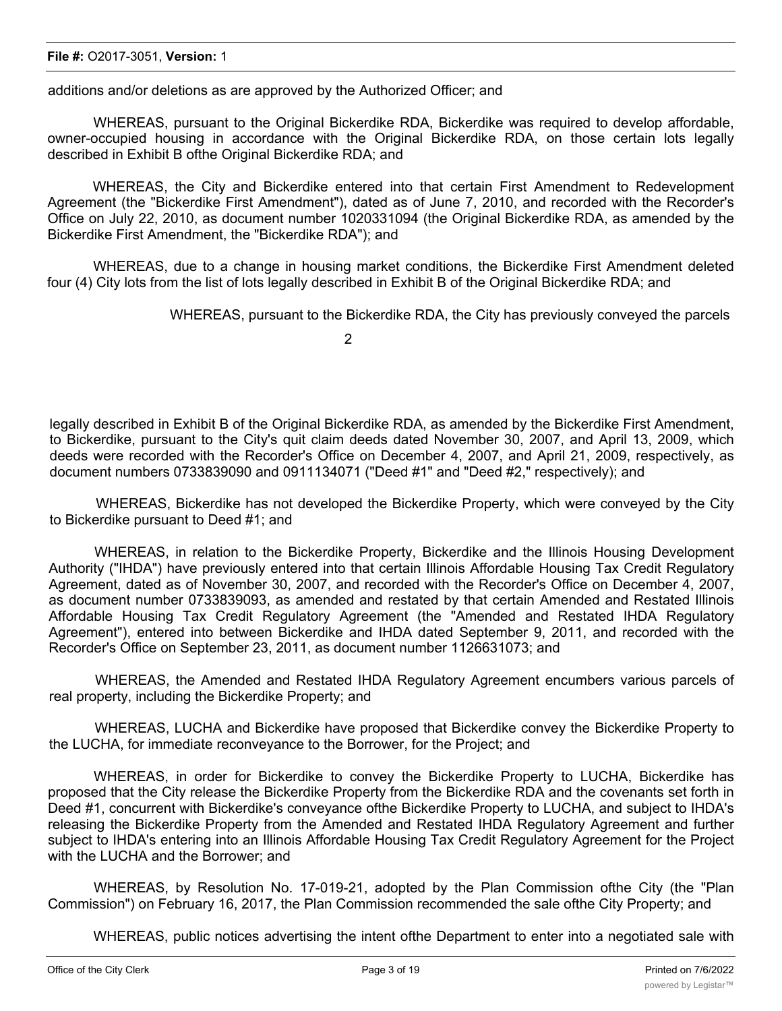additions and/or deletions as are approved by the Authorized Officer; and

WHEREAS, pursuant to the Original Bickerdike RDA, Bickerdike was required to develop affordable, owner-occupied housing in accordance with the Original Bickerdike RDA, on those certain lots legally described in Exhibit B ofthe Original Bickerdike RDA; and

WHEREAS, the City and Bickerdike entered into that certain First Amendment to Redevelopment Agreement (the "Bickerdike First Amendment"), dated as of June 7, 2010, and recorded with the Recorder's Office on July 22, 2010, as document number 1020331094 (the Original Bickerdike RDA, as amended by the Bickerdike First Amendment, the "Bickerdike RDA"); and

WHEREAS, due to a change in housing market conditions, the Bickerdike First Amendment deleted four (4) City lots from the list of lots legally described in Exhibit B of the Original Bickerdike RDA; and

WHEREAS, pursuant to the Bickerdike RDA, the City has previously conveyed the parcels

2

legally described in Exhibit B of the Original Bickerdike RDA, as amended by the Bickerdike First Amendment, to Bickerdike, pursuant to the City's quit claim deeds dated November 30, 2007, and April 13, 2009, which deeds were recorded with the Recorder's Office on December 4, 2007, and April 21, 2009, respectively, as document numbers 0733839090 and 0911134071 ("Deed #1" and "Deed #2," respectively); and

WHEREAS, Bickerdike has not developed the Bickerdike Property, which were conveyed by the City to Bickerdike pursuant to Deed #1; and

WHEREAS, in relation to the Bickerdike Property, Bickerdike and the Illinois Housing Development Authority ("IHDA") have previously entered into that certain Illinois Affordable Housing Tax Credit Regulatory Agreement, dated as of November 30, 2007, and recorded with the Recorder's Office on December 4, 2007, as document number 0733839093, as amended and restated by that certain Amended and Restated Illinois Affordable Housing Tax Credit Regulatory Agreement (the "Amended and Restated IHDA Regulatory Agreement"), entered into between Bickerdike and IHDA dated September 9, 2011, and recorded with the Recorder's Office on September 23, 2011, as document number 1126631073; and

WHEREAS, the Amended and Restated IHDA Regulatory Agreement encumbers various parcels of real property, including the Bickerdike Property; and

WHEREAS, LUCHA and Bickerdike have proposed that Bickerdike convey the Bickerdike Property to the LUCHA, for immediate reconveyance to the Borrower, for the Project; and

WHEREAS, in order for Bickerdike to convey the Bickerdike Property to LUCHA, Bickerdike has proposed that the City release the Bickerdike Property from the Bickerdike RDA and the covenants set forth in Deed #1, concurrent with Bickerdike's conveyance ofthe Bickerdike Property to LUCHA, and subject to IHDA's releasing the Bickerdike Property from the Amended and Restated IHDA Regulatory Agreement and further subject to IHDA's entering into an Illinois Affordable Housing Tax Credit Regulatory Agreement for the Project with the LUCHA and the Borrower; and

WHEREAS, by Resolution No. 17-019-21, adopted by the Plan Commission ofthe City (the "Plan Commission") on February 16, 2017, the Plan Commission recommended the sale ofthe City Property; and

WHEREAS, public notices advertising the intent ofthe Department to enter into a negotiated sale with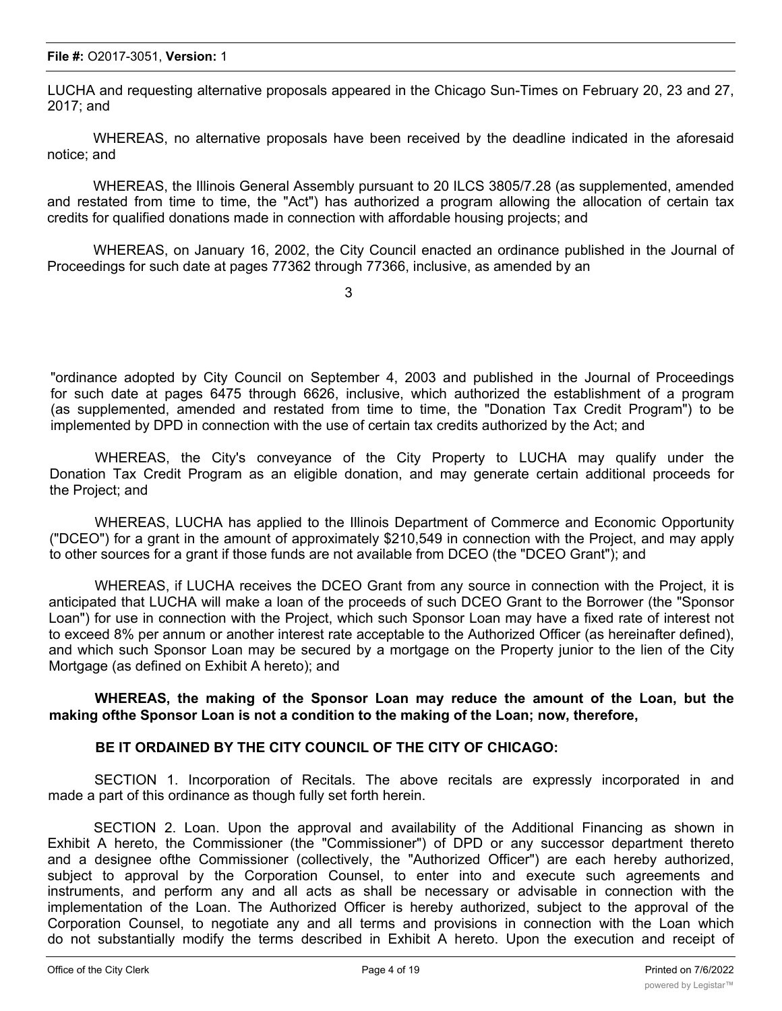LUCHA and requesting alternative proposals appeared in the Chicago Sun-Times on February 20, 23 and 27, 2017; and

WHEREAS, no alternative proposals have been received by the deadline indicated in the aforesaid notice; and

WHEREAS, the Illinois General Assembly pursuant to 20 ILCS 3805/7.28 (as supplemented, amended and restated from time to time, the "Act") has authorized a program allowing the allocation of certain tax credits for qualified donations made in connection with affordable housing projects; and

WHEREAS, on January 16, 2002, the City Council enacted an ordinance published in the Journal of Proceedings for such date at pages 77362 through 77366, inclusive, as amended by an

3

"ordinance adopted by City Council on September 4, 2003 and published in the Journal of Proceedings for such date at pages 6475 through 6626, inclusive, which authorized the establishment of a program (as supplemented, amended and restated from time to time, the "Donation Tax Credit Program") to be implemented by DPD in connection with the use of certain tax credits authorized by the Act; and

WHEREAS, the City's conveyance of the City Property to LUCHA may qualify under the Donation Tax Credit Program as an eligible donation, and may generate certain additional proceeds for the Project; and

WHEREAS, LUCHA has applied to the Illinois Department of Commerce and Economic Opportunity ("DCEO") for a grant in the amount of approximately \$210,549 in connection with the Project, and may apply to other sources for a grant if those funds are not available from DCEO (the "DCEO Grant"); and

WHEREAS, if LUCHA receives the DCEO Grant from any source in connection with the Project, it is anticipated that LUCHA will make a loan of the proceeds of such DCEO Grant to the Borrower (the "Sponsor Loan") for use in connection with the Project, which such Sponsor Loan may have a fixed rate of interest not to exceed 8% per annum or another interest rate acceptable to the Authorized Officer (as hereinafter defined), and which such Sponsor Loan may be secured by a mortgage on the Property junior to the lien of the City Mortgage (as defined on Exhibit A hereto); and

**WHEREAS, the making of the Sponsor Loan may reduce the amount of the Loan, but the making ofthe Sponsor Loan is not a condition to the making of the Loan; now, therefore,**

### **BE IT ORDAINED BY THE CITY COUNCIL OF THE CITY OF CHICAGO:**

SECTION 1. Incorporation of Recitals. The above recitals are expressly incorporated in and made a part of this ordinance as though fully set forth herein.

SECTION 2. Loan. Upon the approval and availability of the Additional Financing as shown in Exhibit A hereto, the Commissioner (the "Commissioner") of DPD or any successor department thereto and a designee ofthe Commissioner (collectively, the "Authorized Officer") are each hereby authorized, subject to approval by the Corporation Counsel, to enter into and execute such agreements and instruments, and perform any and all acts as shall be necessary or advisable in connection with the implementation of the Loan. The Authorized Officer is hereby authorized, subject to the approval of the Corporation Counsel, to negotiate any and all terms and provisions in connection with the Loan which do not substantially modify the terms described in Exhibit A hereto. Upon the execution and receipt of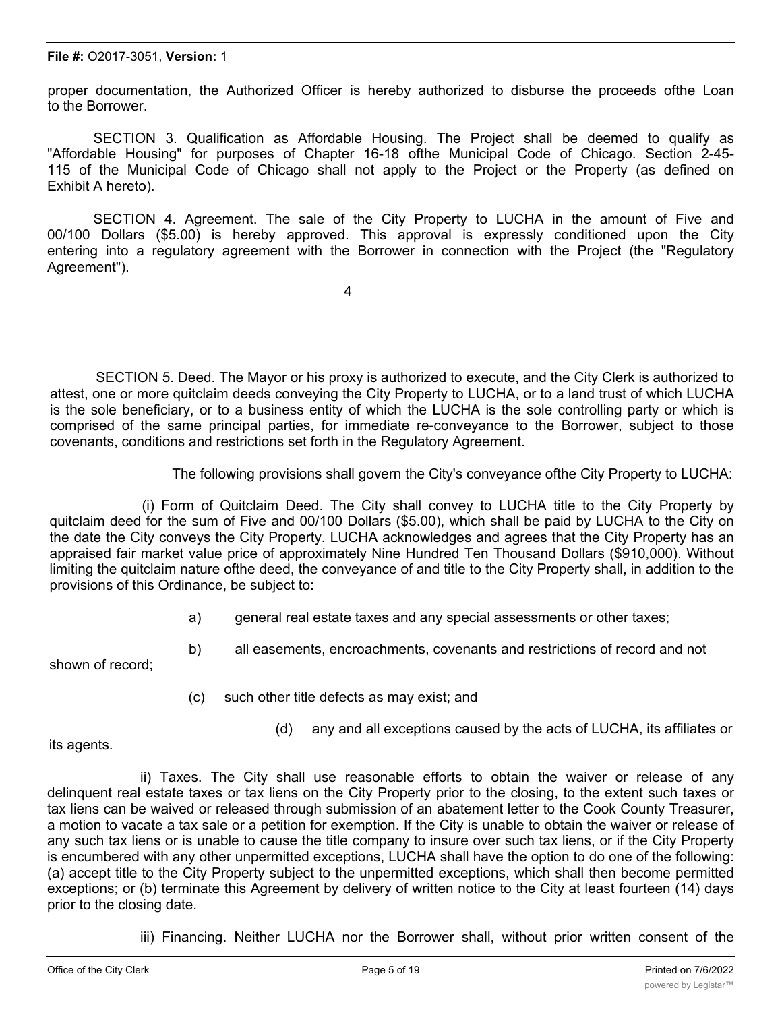proper documentation, the Authorized Officer is hereby authorized to disburse the proceeds ofthe Loan to the Borrower.

SECTION 3. Qualification as Affordable Housing. The Project shall be deemed to qualify as "Affordable Housing" for purposes of Chapter 16-18 ofthe Municipal Code of Chicago. Section 2-45- 115 of the Municipal Code of Chicago shall not apply to the Project or the Property (as defined on Exhibit A hereto).

SECTION 4. Agreement. The sale of the City Property to LUCHA in the amount of Five and 00/100 Dollars (\$5.00) is hereby approved. This approval is expressly conditioned upon the City entering into a regulatory agreement with the Borrower in connection with the Project (the "Regulatory Agreement").

4

SECTION 5. Deed. The Mayor or his proxy is authorized to execute, and the City Clerk is authorized to attest, one or more quitclaim deeds conveying the City Property to LUCHA, or to a land trust of which LUCHA is the sole beneficiary, or to a business entity of which the LUCHA is the sole controlling party or which is comprised of the same principal parties, for immediate re-conveyance to the Borrower, subject to those covenants, conditions and restrictions set forth in the Regulatory Agreement.

The following provisions shall govern the City's conveyance ofthe City Property to LUCHA:

(i) Form of Quitclaim Deed. The City shall convey to LUCHA title to the City Property by quitclaim deed for the sum of Five and 00/100 Dollars (\$5.00), which shall be paid by LUCHA to the City on the date the City conveys the City Property. LUCHA acknowledges and agrees that the City Property has an appraised fair market value price of approximately Nine Hundred Ten Thousand Dollars (\$910,000). Without limiting the quitclaim nature ofthe deed, the conveyance of and title to the City Property shall, in addition to the provisions of this Ordinance, be subject to:

- a) general real estate taxes and any special assessments or other taxes;
- b) all easements, encroachments, covenants and restrictions of record and not

shown of record;

- (c) such other title defects as may exist; and
	- (d) any and all exceptions caused by the acts of LUCHA, its affiliates or

its agents.

ii) Taxes. The City shall use reasonable efforts to obtain the waiver or release of any delinquent real estate taxes or tax liens on the City Property prior to the closing, to the extent such taxes or tax liens can be waived or released through submission of an abatement letter to the Cook County Treasurer, a motion to vacate a tax sale or a petition for exemption. If the City is unable to obtain the waiver or release of any such tax liens or is unable to cause the title company to insure over such tax liens, or if the City Property is encumbered with any other unpermitted exceptions, LUCHA shall have the option to do one of the following: (a) accept title to the City Property subject to the unpermitted exceptions, which shall then become permitted exceptions; or (b) terminate this Agreement by delivery of written notice to the City at least fourteen (14) days prior to the closing date.

iii) Financing. Neither LUCHA nor the Borrower shall, without prior written consent of the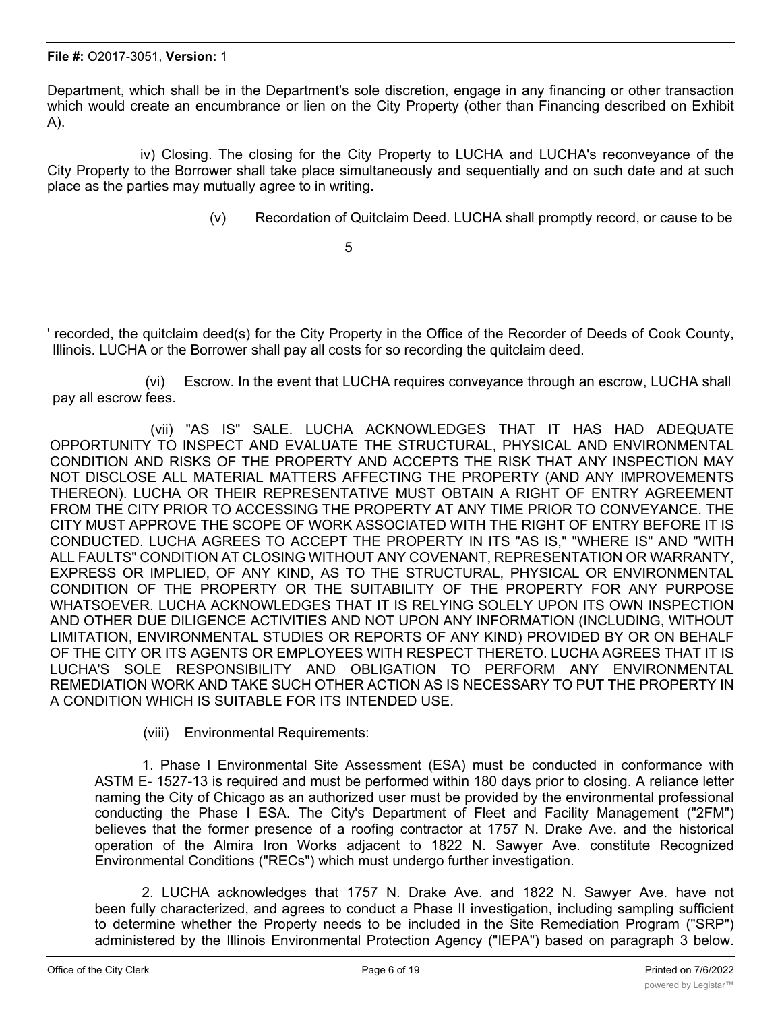Department, which shall be in the Department's sole discretion, engage in any financing or other transaction which would create an encumbrance or lien on the City Property (other than Financing described on Exhibit A).

iv) Closing. The closing for the City Property to LUCHA and LUCHA's reconveyance of the City Property to the Borrower shall take place simultaneously and sequentially and on such date and at such place as the parties may mutually agree to in writing.

(v) Recordation of Quitclaim Deed. LUCHA shall promptly record, or cause to be

5

' recorded, the quitclaim deed(s) for the City Property in the Office of the Recorder of Deeds of Cook County, Illinois. LUCHA or the Borrower shall pay all costs for so recording the quitclaim deed.

(vi) Escrow. In the event that LUCHA requires conveyance through an escrow, LUCHA shall pay all escrow fees.

(vii) "AS IS" SALE. LUCHA ACKNOWLEDGES THAT IT HAS HAD ADEQUATE OPPORTUNITY TO INSPECT AND EVALUATE THE STRUCTURAL, PHYSICAL AND ENVIRONMENTAL CONDITION AND RISKS OF THE PROPERTY AND ACCEPTS THE RISK THAT ANY INSPECTION MAY NOT DISCLOSE ALL MATERIAL MATTERS AFFECTING THE PROPERTY (AND ANY IMPROVEMENTS THEREON). LUCHA OR THEIR REPRESENTATIVE MUST OBTAIN A RIGHT OF ENTRY AGREEMENT FROM THE CITY PRIOR TO ACCESSING THE PROPERTY AT ANY TIME PRIOR TO CONVEYANCE. THE CITY MUST APPROVE THE SCOPE OF WORK ASSOCIATED WITH THE RIGHT OF ENTRY BEFORE IT IS CONDUCTED. LUCHA AGREES TO ACCEPT THE PROPERTY IN ITS "AS IS," "WHERE IS" AND "WITH ALL FAULTS" CONDITION AT CLOSING WITHOUT ANY COVENANT, REPRESENTATION OR WARRANTY, EXPRESS OR IMPLIED, OF ANY KIND, AS TO THE STRUCTURAL, PHYSICAL OR ENVIRONMENTAL CONDITION OF THE PROPERTY OR THE SUITABILITY OF THE PROPERTY FOR ANY PURPOSE WHATSOEVER. LUCHA ACKNOWLEDGES THAT IT IS RELYING SOLELY UPON ITS OWN INSPECTION AND OTHER DUE DILIGENCE ACTIVITIES AND NOT UPON ANY INFORMATION (INCLUDING, WITHOUT LIMITATION, ENVIRONMENTAL STUDIES OR REPORTS OF ANY KIND) PROVIDED BY OR ON BEHALF OF THE CITY OR ITS AGENTS OR EMPLOYEES WITH RESPECT THERETO. LUCHA AGREES THAT IT IS LUCHA'S SOLE RESPONSIBILITY AND OBLIGATION TO PERFORM ANY ENVIRONMENTAL REMEDIATION WORK AND TAKE SUCH OTHER ACTION AS IS NECESSARY TO PUT THE PROPERTY IN A CONDITION WHICH IS SUITABLE FOR ITS INTENDED USE.

(viii) Environmental Requirements:

1. Phase I Environmental Site Assessment (ESA) must be conducted in conformance with ASTM E- 1527-13 is required and must be performed within 180 days prior to closing. A reliance letter naming the City of Chicago as an authorized user must be provided by the environmental professional conducting the Phase I ESA. The City's Department of Fleet and Facility Management ("2FM") believes that the former presence of a roofing contractor at 1757 N. Drake Ave. and the historical operation of the Almira Iron Works adjacent to 1822 N. Sawyer Ave. constitute Recognized Environmental Conditions ("RECs") which must undergo further investigation.

2. LUCHA acknowledges that 1757 N. Drake Ave. and 1822 N. Sawyer Ave. have not been fully characterized, and agrees to conduct a Phase II investigation, including sampling sufficient to determine whether the Property needs to be included in the Site Remediation Program ("SRP") administered by the Illinois Environmental Protection Agency ("IEPA") based on paragraph 3 below.

 $\mathcal{L}_{\mathcal{A}}$  any successor department thereto shall have the right to review and approximately to the sampling to the sampling to  $\mathcal{A}$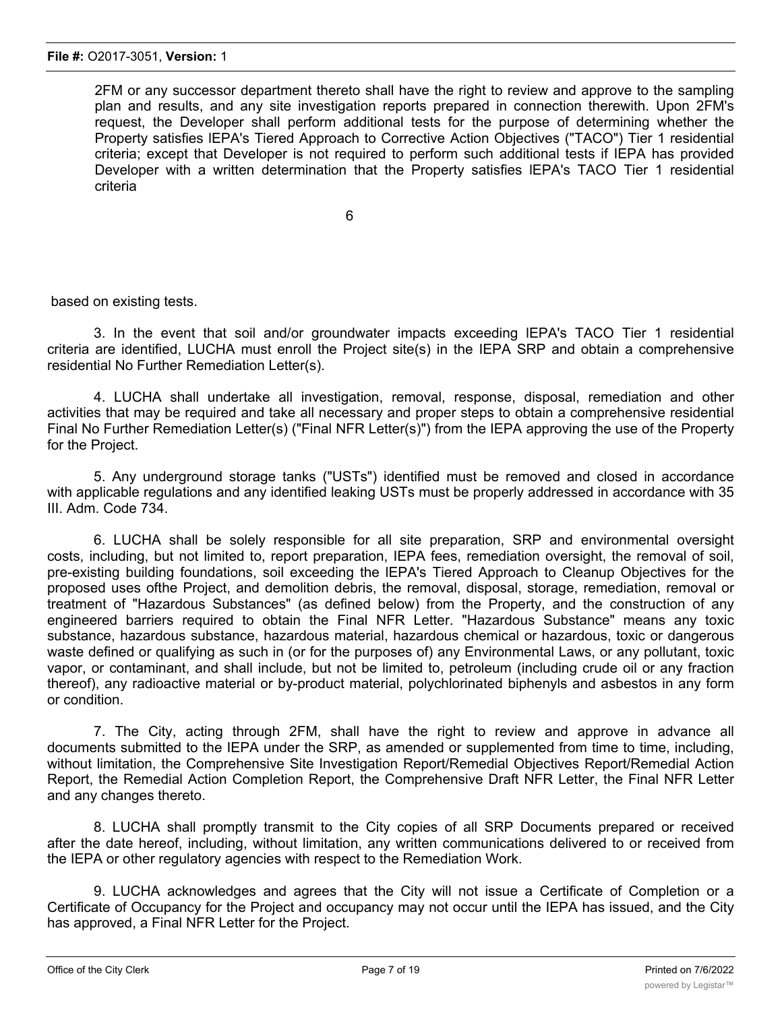2FM or any successor department thereto shall have the right to review and approve to the sampling plan and results, and any site investigation reports prepared in connection therewith. Upon 2FM's request, the Developer shall perform additional tests for the purpose of determining whether the Property satisfies lEPA's Tiered Approach to Corrective Action Objectives ("TACO") Tier 1 residential criteria; except that Developer is not required to perform such additional tests if IEPA has provided Developer with a written determination that the Property satisfies lEPA's TACO Tier 1 residential criteria

6

based on existing tests.

3. In the event that soil and/or groundwater impacts exceeding lEPA's TACO Tier 1 residential criteria are identified, LUCHA must enroll the Project site(s) in the IEPA SRP and obtain a comprehensive residential No Further Remediation Letter(s).

4. LUCHA shall undertake all investigation, removal, response, disposal, remediation and other activities that may be required and take all necessary and proper steps to obtain a comprehensive residential Final No Further Remediation Letter(s) ("Final NFR Letter(s)") from the IEPA approving the use of the Property for the Project.

5. Any underground storage tanks ("USTs") identified must be removed and closed in accordance with applicable regulations and any identified leaking USTs must be properly addressed in accordance with 35 III. Adm. Code 734.

6. LUCHA shall be solely responsible for all site preparation, SRP and environmental oversight costs, including, but not limited to, report preparation, IEPA fees, remediation oversight, the removal of soil, pre-existing building foundations, soil exceeding the lEPA's Tiered Approach to Cleanup Objectives for the proposed uses ofthe Project, and demolition debris, the removal, disposal, storage, remediation, removal or treatment of "Hazardous Substances" (as defined below) from the Property, and the construction of any engineered barriers required to obtain the Final NFR Letter. "Hazardous Substance" means any toxic substance, hazardous substance, hazardous material, hazardous chemical or hazardous, toxic or dangerous waste defined or qualifying as such in (or for the purposes of) any Environmental Laws, or any pollutant, toxic vapor, or contaminant, and shall include, but not be limited to, petroleum (including crude oil or any fraction thereof), any radioactive material or by-product material, polychlorinated biphenyls and asbestos in any form or condition.

7. The City, acting through 2FM, shall have the right to review and approve in advance all documents submitted to the IEPA under the SRP, as amended or supplemented from time to time, including, without limitation, the Comprehensive Site Investigation Report/Remedial Objectives Report/Remedial Action Report, the Remedial Action Completion Report, the Comprehensive Draft NFR Letter, the Final NFR Letter and any changes thereto.

8. LUCHA shall promptly transmit to the City copies of all SRP Documents prepared or received after the date hereof, including, without limitation, any written communications delivered to or received from the IEPA or other regulatory agencies with respect to the Remediation Work.

9. LUCHA acknowledges and agrees that the City will not issue a Certificate of Completion or a Certificate of Occupancy for the Project and occupancy may not occur until the IEPA has issued, and the City has approved, a Final NFR Letter for the Project.

 $\frac{1}{\sqrt{1-\frac{1}{\sqrt{1-\frac{1}{\sqrt{1-\frac{1}{\sqrt{1-\frac{1}{\sqrt{1-\frac{1}{\sqrt{1-\frac{1}{\sqrt{1-\frac{1}{\sqrt{1-\frac{1}{\sqrt{1-\frac{1}{\sqrt{1-\frac{1}{\sqrt{1-\frac{1}{\sqrt{1-\frac{1}{\sqrt{1-\frac{1}{\sqrt{1-\frac{1}{\sqrt{1-\frac{1}{\sqrt{1-\frac{1}{\sqrt{1-\frac{1}{\sqrt{1-\frac{1}{\sqrt{1-\frac{1}{\sqrt{1-\frac{1}{\sqrt{1-\frac{1}{\sqrt{1-\frac{1}{\sqrt{1-\frac{1}{\sqrt{1-\frac{1$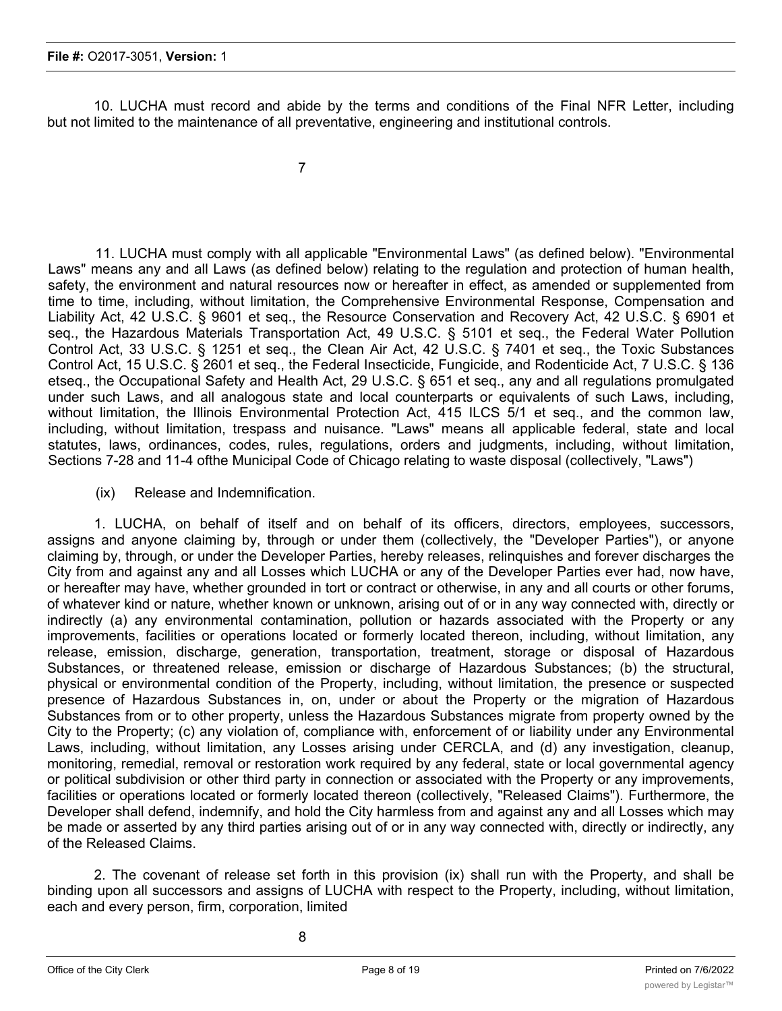10. LUCHA must record and abide by the terms and conditions of the Final NFR Letter, including but not limited to the maintenance of all preventative, engineering and institutional controls.

11. LUCHA must comply with all applicable "Environmental Laws" (as defined below). "Environmental Laws" means any and all Laws (as defined below) relating to the regulation and protection of human health, safety, the environment and natural resources now or hereafter in effect, as amended or supplemented from time to time, including, without limitation, the Comprehensive Environmental Response, Compensation and Liability Act, 42 U.S.C. § 9601 et seq., the Resource Conservation and Recovery Act, 42 U.S.C. § 6901 et seq., the Hazardous Materials Transportation Act, 49 U.S.C. § 5101 et seq., the Federal Water Pollution Control Act, 33 U.S.C. § 1251 et seq., the Clean Air Act, 42 U.S.C. § 7401 et seq., the Toxic Substances Control Act, 15 U.S.C. § 2601 et seq., the Federal Insecticide, Fungicide, and Rodenticide Act, 7 U.S.C. § 136 etseq., the Occupational Safety and Health Act, 29 U.S.C. § 651 et seq., any and all regulations promulgated under such Laws, and all analogous state and local counterparts or equivalents of such Laws, including, without limitation, the Illinois Environmental Protection Act, 415 ILCS 5/1 et seq., and the common law, including, without limitation, trespass and nuisance. "Laws" means all applicable federal, state and local statutes, laws, ordinances, codes, rules, regulations, orders and judgments, including, without limitation, Sections 7-28 and 11-4 ofthe Municipal Code of Chicago relating to waste disposal (collectively, "Laws")

(ix) Release and Indemnification.

1. LUCHA, on behalf of itself and on behalf of its officers, directors, employees, successors, assigns and anyone claiming by, through or under them (collectively, the "Developer Parties"), or anyone claiming by, through, or under the Developer Parties, hereby releases, relinquishes and forever discharges the City from and against any and all Losses which LUCHA or any of the Developer Parties ever had, now have, or hereafter may have, whether grounded in tort or contract or otherwise, in any and all courts or other forums, of whatever kind or nature, whether known or unknown, arising out of or in any way connected with, directly or indirectly (a) any environmental contamination, pollution or hazards associated with the Property or any improvements, facilities or operations located or formerly located thereon, including, without limitation, any release, emission, discharge, generation, transportation, treatment, storage or disposal of Hazardous Substances, or threatened release, emission or discharge of Hazardous Substances; (b) the structural, physical or environmental condition of the Property, including, without limitation, the presence or suspected presence of Hazardous Substances in, on, under or about the Property or the migration of Hazardous Substances from or to other property, unless the Hazardous Substances migrate from property owned by the City to the Property; (c) any violation of, compliance with, enforcement of or liability under any Environmental Laws, including, without limitation, any Losses arising under CERCLA, and (d) any investigation, cleanup, monitoring, remedial, removal or restoration work required by any federal, state or local governmental agency or political subdivision or other third party in connection or associated with the Property or any improvements, facilities or operations located or formerly located thereon (collectively, "Released Claims"). Furthermore, the Developer shall defend, indemnify, and hold the City harmless from and against any and all Losses which may be made or asserted by any third parties arising out of or in any way connected with, directly or indirectly, any of the Released Claims.

2. The covenant of release set forth in this provision (ix) shall run with the Property, and shall be binding upon all successors and assigns of LUCHA with respect to the Property, including, without limitation, each and every person, firm, corporation, limited

8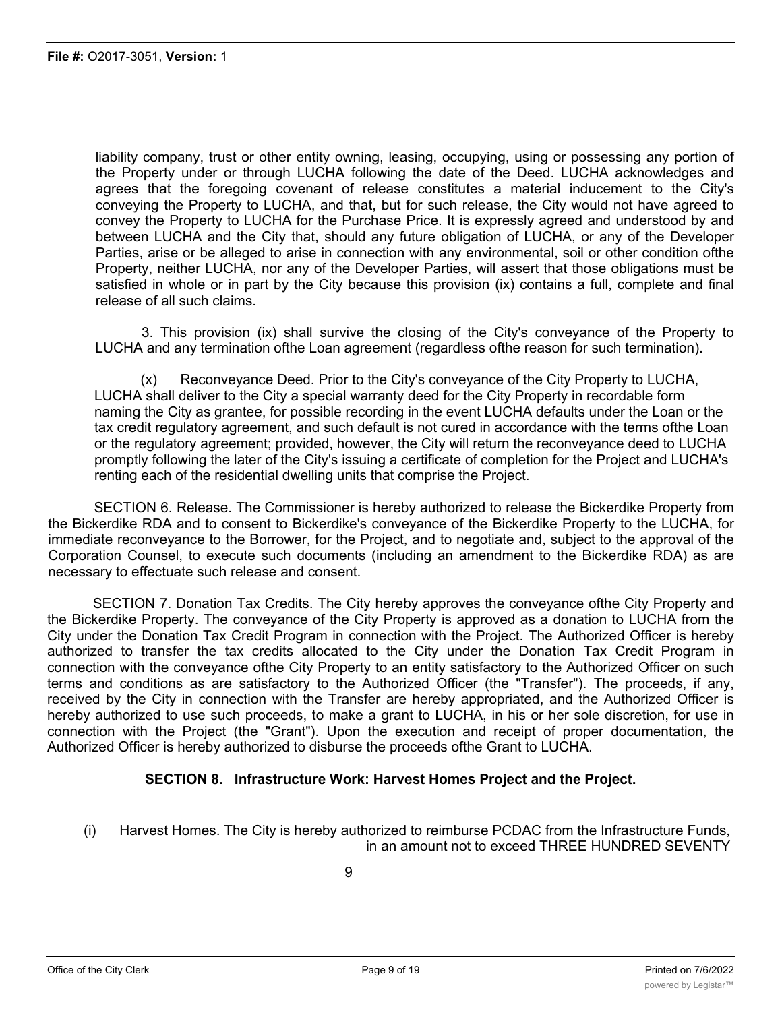liability company, trust or other entity owning, leasing, occupying, using or possessing any portion of the Property under or through LUCHA following the date of the Deed. LUCHA acknowledges and agrees that the foregoing covenant of release constitutes a material inducement to the City's conveying the Property to LUCHA, and that, but for such release, the City would not have agreed to convey the Property to LUCHA for the Purchase Price. It is expressly agreed and understood by and between LUCHA and the City that, should any future obligation of LUCHA, or any of the Developer Parties, arise or be alleged to arise in connection with any environmental, soil or other condition ofthe Property, neither LUCHA, nor any of the Developer Parties, will assert that those obligations must be satisfied in whole or in part by the City because this provision (ix) contains a full, complete and final release of all such claims.

3. This provision (ix) shall survive the closing of the City's conveyance of the Property to LUCHA and any termination ofthe Loan agreement (regardless ofthe reason for such termination).

(x) Reconveyance Deed. Prior to the City's conveyance of the City Property to LUCHA, LUCHA shall deliver to the City a special warranty deed for the City Property in recordable form naming the City as grantee, for possible recording in the event LUCHA defaults under the Loan or the tax credit regulatory agreement, and such default is not cured in accordance with the terms ofthe Loan or the regulatory agreement; provided, however, the City will return the reconveyance deed to LUCHA promptly following the later of the City's issuing a certificate of completion for the Project and LUCHA's renting each of the residential dwelling units that comprise the Project.

SECTION 6. Release. The Commissioner is hereby authorized to release the Bickerdike Property from the Bickerdike RDA and to consent to Bickerdike's conveyance of the Bickerdike Property to the LUCHA, for immediate reconveyance to the Borrower, for the Project, and to negotiate and, subject to the approval of the Corporation Counsel, to execute such documents (including an amendment to the Bickerdike RDA) as are necessary to effectuate such release and consent.

SECTION 7. Donation Tax Credits. The City hereby approves the conveyance ofthe City Property and the Bickerdike Property. The conveyance of the City Property is approved as a donation to LUCHA from the City under the Donation Tax Credit Program in connection with the Project. The Authorized Officer is hereby authorized to transfer the tax credits allocated to the City under the Donation Tax Credit Program in connection with the conveyance ofthe City Property to an entity satisfactory to the Authorized Officer on such terms and conditions as are satisfactory to the Authorized Officer (the "Transfer"). The proceeds, if any, received by the City in connection with the Transfer are hereby appropriated, and the Authorized Officer is hereby authorized to use such proceeds, to make a grant to LUCHA, in his or her sole discretion, for use in connection with the Project (the "Grant"). Upon the execution and receipt of proper documentation, the Authorized Officer is hereby authorized to disburse the proceeds ofthe Grant to LUCHA.

#### **SECTION 8. Infrastructure Work: Harvest Homes Project and the Project.**

(i) Harvest Homes. The City is hereby authorized to reimburse PCDAC from the Infrastructure Funds, in an amount not to exceed THREE HUNDRED SEVENTY

9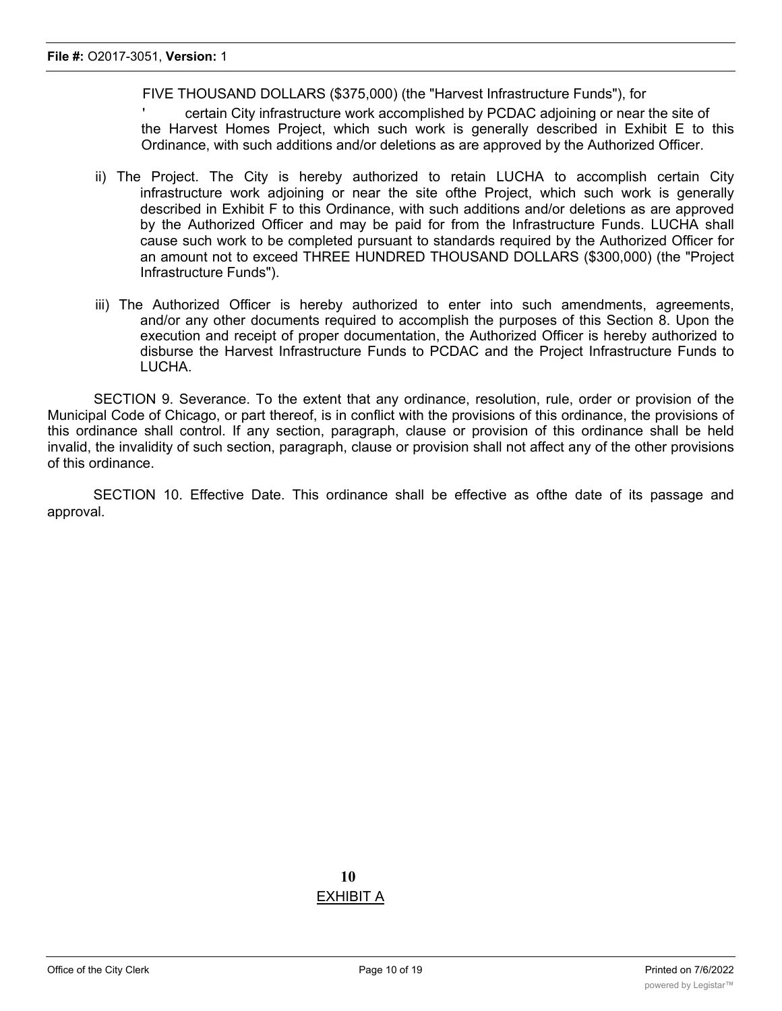FIVE THOUSAND DOLLARS (\$375,000) (the "Harvest Infrastructure Funds"), for

 certain City infrastructure work accomplished by PCDAC adjoining or near the site of the Harvest Homes Project, which such work is generally described in Exhibit E to this Ordinance, with such additions and/or deletions as are approved by the Authorized Officer.

- ii) The Project. The City is hereby authorized to retain LUCHA to accomplish certain City infrastructure work adjoining or near the site ofthe Project, which such work is generally described in Exhibit F to this Ordinance, with such additions and/or deletions as are approved by the Authorized Officer and may be paid for from the Infrastructure Funds. LUCHA shall cause such work to be completed pursuant to standards required by the Authorized Officer for an amount not to exceed THREE HUNDRED THOUSAND DOLLARS (\$300,000) (the "Project Infrastructure Funds").
- iii) The Authorized Officer is hereby authorized to enter into such amendments, agreements, and/or any other documents required to accomplish the purposes of this Section 8. Upon the execution and receipt of proper documentation, the Authorized Officer is hereby authorized to disburse the Harvest Infrastructure Funds to PCDAC and the Project Infrastructure Funds to LUCHA.

SECTION 9. Severance. To the extent that any ordinance, resolution, rule, order or provision of the Municipal Code of Chicago, or part thereof, is in conflict with the provisions of this ordinance, the provisions of this ordinance shall control. If any section, paragraph, clause or provision of this ordinance shall be held invalid, the invalidity of such section, paragraph, clause or provision shall not affect any of the other provisions of this ordinance.

SECTION 10. Effective Date. This ordinance shall be effective as ofthe date of its passage and approval.

> **10** EXHIBIT A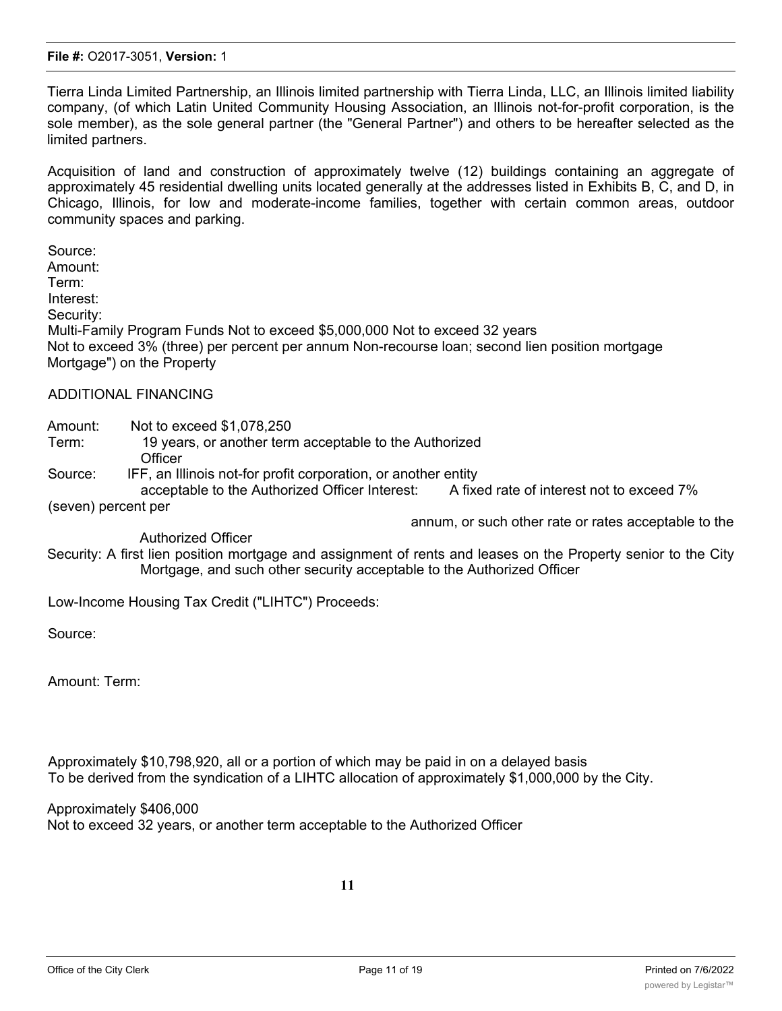Tierra Linda Limited Partnership, an Illinois limited partnership with Tierra Linda, LLC, an Illinois limited liability company, (of which Latin United Community Housing Association, an Illinois not-for-profit corporation, is the sole member), as the sole general partner (the "General Partner") and others to be hereafter selected as the limited partners.

Acquisition of land and construction of approximately twelve (12) buildings containing an aggregate of approximately 45 residential dwelling units located generally at the addresses listed in Exhibits B, C, and D, in Chicago, Illinois, for low and moderate-income families, together with certain common areas, outdoor community spaces and parking.

Source: Amount: Term: Interest: Security: Multi-Family Program Funds Not to exceed \$5,000,000 Not to exceed 32 years Not to exceed 3% (three) per percent per annum Non-recourse loan; second lien position mortgage Mortgage") on the Property ADDITIONAL FINANCING

- Amount: Not to exceed \$1,078,250
- Term: 19 years, or another term acceptable to the Authorized **Officer**

Source: IFF, an Illinois not-for profit corporation, or another entity acceptable to the Authorized Officer Interest: A fixed rate of interest not to exceed 7%

(seven) percent per

annum, or such other rate or rates acceptable to the

Authorized Officer

Security: A first lien position mortgage and assignment of rents and leases on the Property senior to the City Mortgage, and such other security acceptable to the Authorized Officer

Low-Income Housing Tax Credit ("LIHTC") Proceeds:

Source:

Amount: Term:

Approximately \$10,798,920, all or a portion of which may be paid in on a delayed basis To be derived from the syndication of a LIHTC allocation of approximately \$1,000,000 by the City.

Approximately \$406,000 Not to exceed 32 years, or another term acceptable to the Authorized Officer

**11**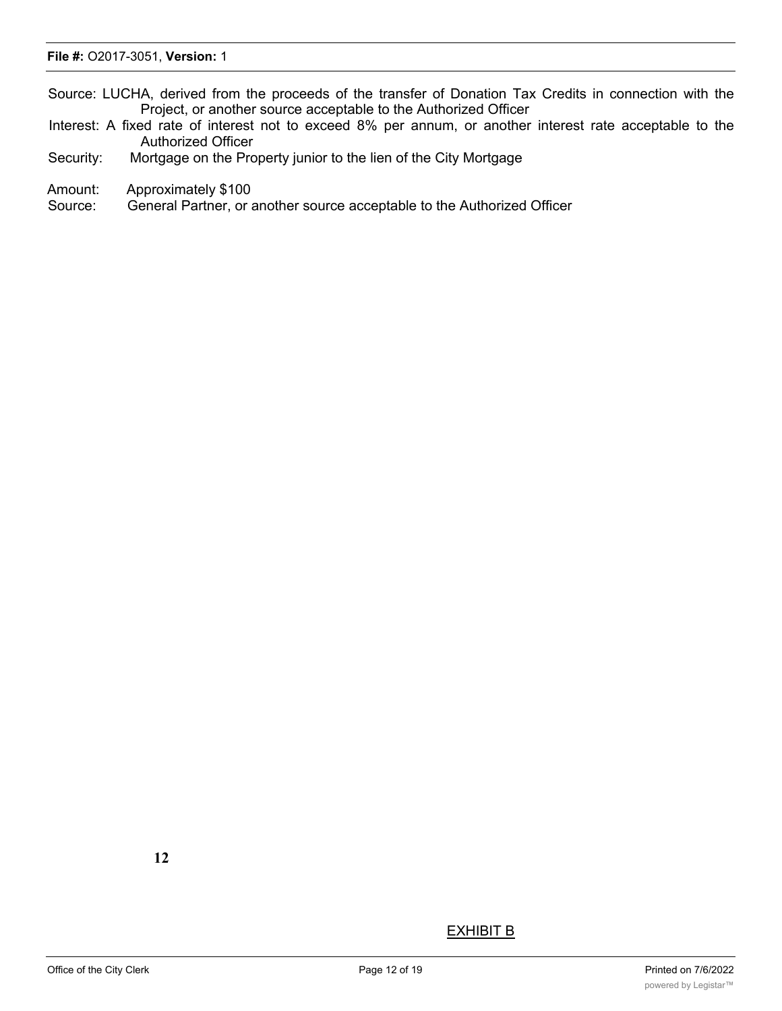Source: LUCHA, derived from the proceeds of the transfer of Donation Tax Credits in connection with the Project, or another source acceptable to the Authorized Officer

Interest: A fixed rate of interest not to exceed 8% per annum, or another interest rate acceptable to the Authorized Officer

- Security: Mortgage on the Property junior to the lien of the City Mortgage
- Amount: Approximately \$100

Source: General Partner, or another source acceptable to the Authorized Officer

### **EXHIBIT B**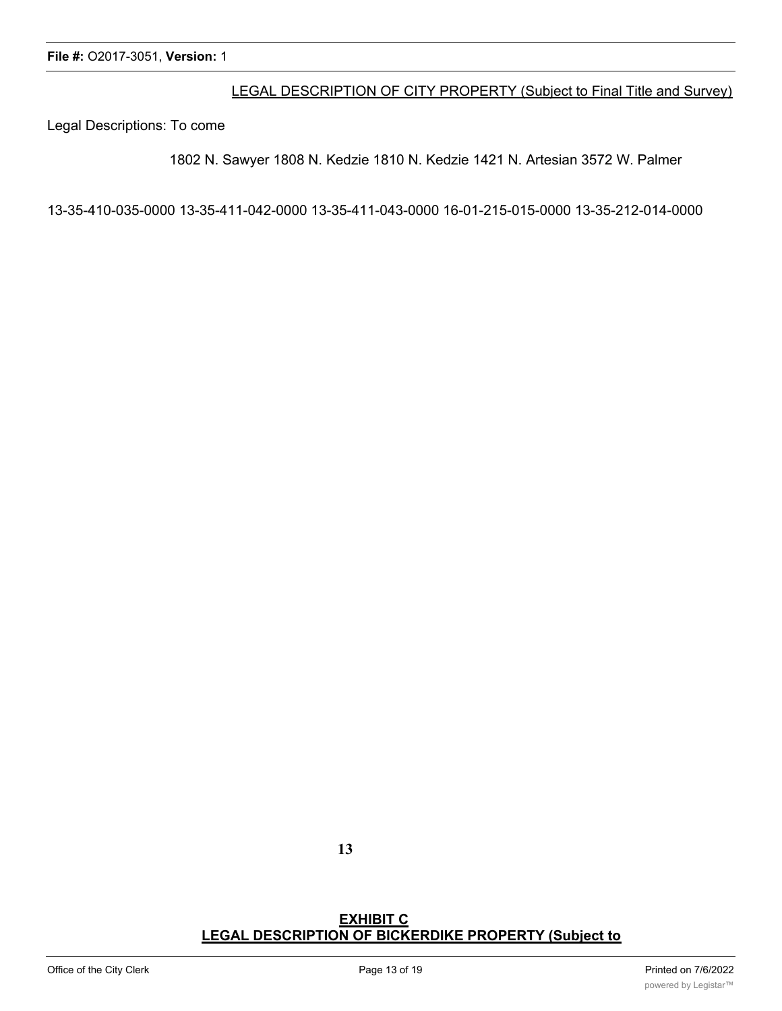#### LEGAL DESCRIPTION OF CITY PROPERTY (Subject to Final Title and Survey)

Legal Descriptions: To come

1802 N. Sawyer 1808 N. Kedzie 1810 N. Kedzie 1421 N. Artesian 3572 W. Palmer

13-35-410-035-0000 13-35-411-042-0000 13-35-411-043-0000 16-01-215-015-0000 13-35-212-014-0000

**13**

**EXHIBIT C LEGAL DESCRIPTION OF BICKERDIKE PROPERTY (Subject to**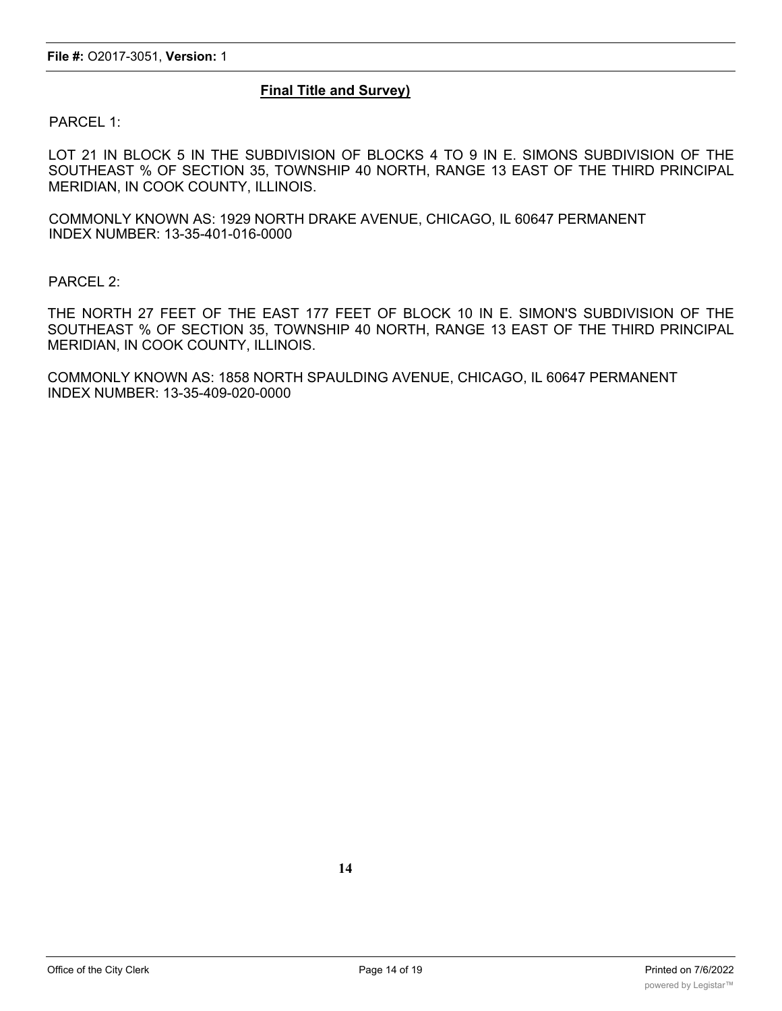#### **Final Title and Survey)**

PARCEL 1:

LOT 21 IN BLOCK 5 IN THE SUBDIVISION OF BLOCKS 4 TO 9 IN E. SIMONS SUBDIVISION OF THE SOUTHEAST % OF SECTION 35, TOWNSHIP 40 NORTH, RANGE 13 EAST OF THE THIRD PRINCIPAL MERIDIAN, IN COOK COUNTY, ILLINOIS.

COMMONLY KNOWN AS: 1929 NORTH DRAKE AVENUE, CHICAGO, IL 60647 PERMANENT INDEX NUMBER: 13-35-401-016-0000

PARCEL 2:

THE NORTH 27 FEET OF THE EAST 177 FEET OF BLOCK 10 IN E. SIMON'S SUBDIVISION OF THE SOUTHEAST % OF SECTION 35, TOWNSHIP 40 NORTH, RANGE 13 EAST OF THE THIRD PRINCIPAL MERIDIAN, IN COOK COUNTY, ILLINOIS.

COMMONLY KNOWN AS: 1858 NORTH SPAULDING AVENUE, CHICAGO, IL 60647 PERMANENT INDEX NUMBER: 13-35-409-020-0000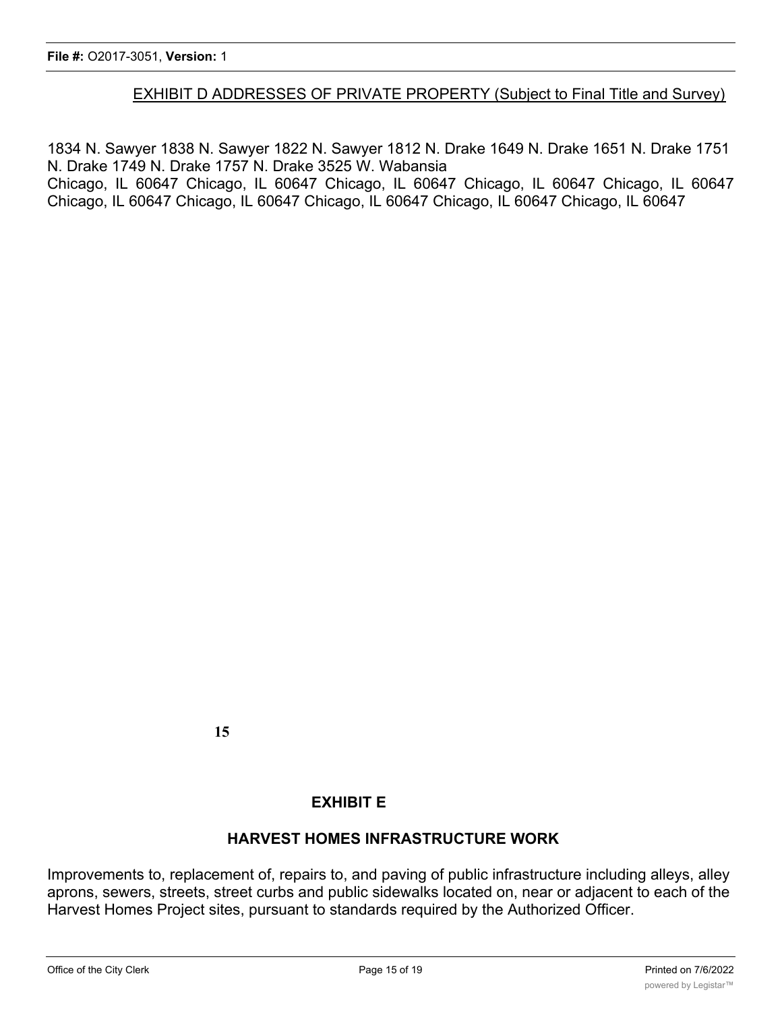# EXHIBIT D ADDRESSES OF PRIVATE PROPERTY (Subject to Final Title and Survey)

1834 N. Sawyer 1838 N. Sawyer 1822 N. Sawyer 1812 N. Drake 1649 N. Drake 1651 N. Drake 1751 N. Drake 1749 N. Drake 1757 N. Drake 3525 W. Wabansia Chicago, IL 60647 Chicago, IL 60647 Chicago, IL 60647 Chicago, IL 60647 Chicago, IL 60647 Chicago, IL 60647 Chicago, IL 60647 Chicago, IL 60647 Chicago, IL 60647 Chicago, IL 60647

**15**

# **EXHIBIT E**

### **HARVEST HOMES INFRASTRUCTURE WORK**

Improvements to, replacement of, repairs to, and paving of public infrastructure including alleys, alley aprons, sewers, streets, street curbs and public sidewalks located on, near or adjacent to each of the Harvest Homes Project sites, pursuant to standards required by the Authorized Officer.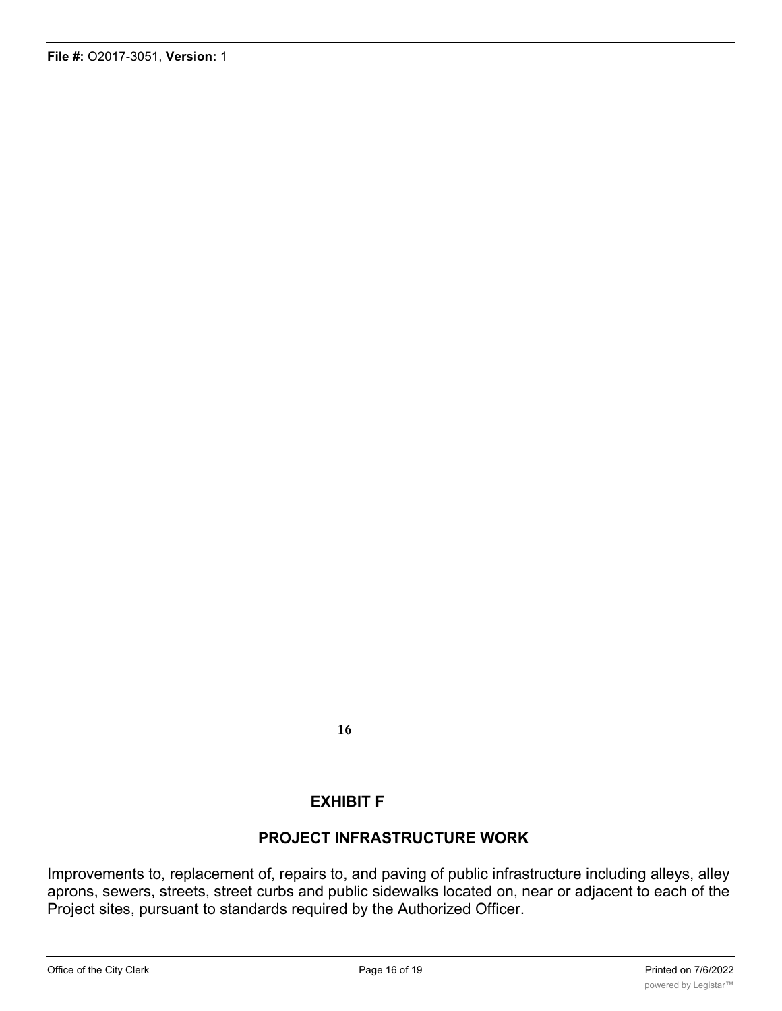**16**

# **EXHIBIT F**

# **PROJECT INFRASTRUCTURE WORK**

Improvements to, replacement of, repairs to, and paving of public infrastructure including alleys, alley aprons, sewers, streets, street curbs and public sidewalks located on, near or adjacent to each of the Project sites, pursuant to standards required by the Authorized Officer.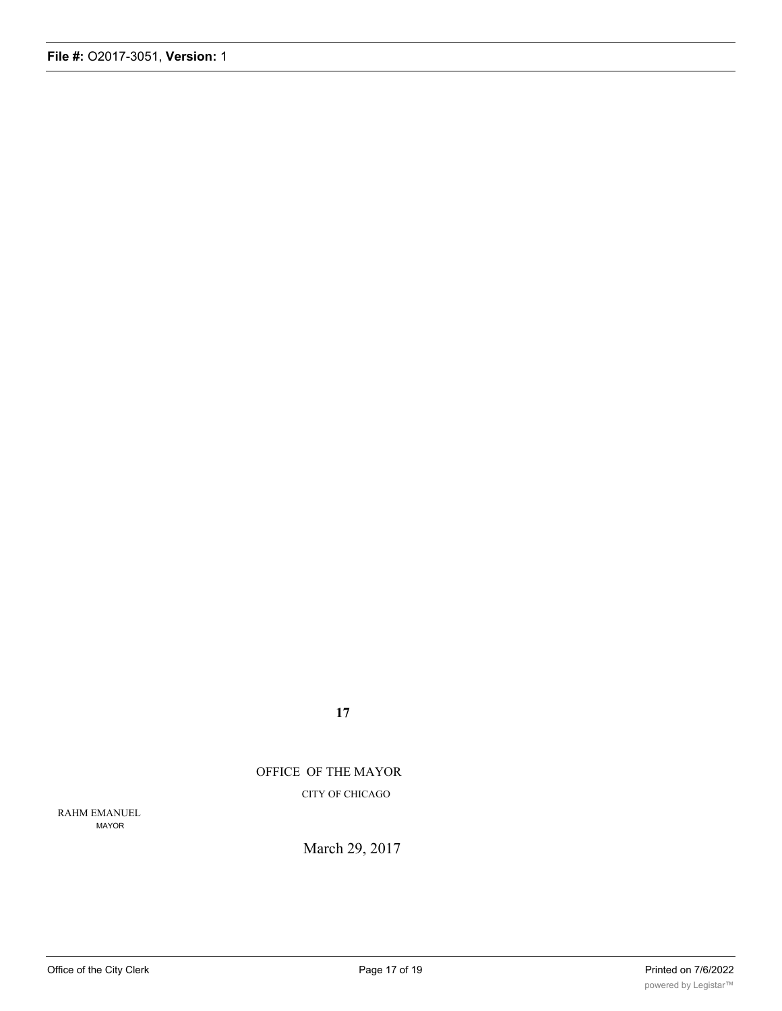**17**

OFFICE OF THE MAYOR CITY OF CHICAGO

RAHM EMANUEL MAYOR

March 29, 2017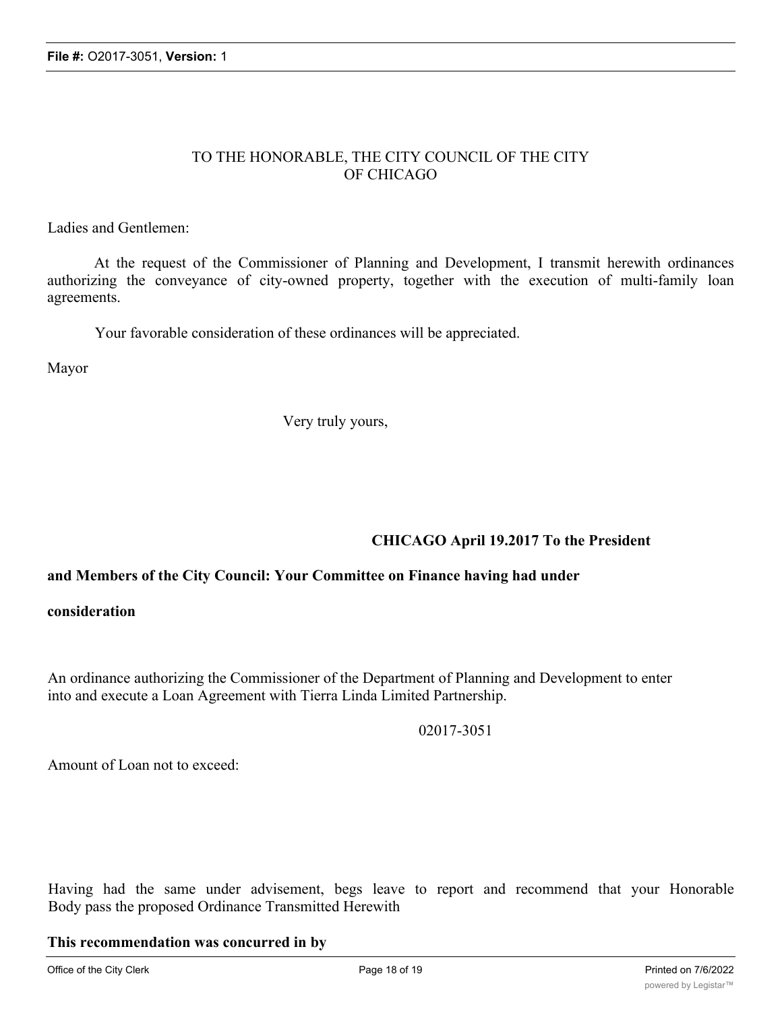# TO THE HONORABLE, THE CITY COUNCIL OF THE CITY OF CHICAGO

Ladies and Gentlemen:

At the request of the Commissioner of Planning and Development, I transmit herewith ordinances authorizing the conveyance of city-owned property, together with the execution of multi-family loan agreements.

Your favorable consideration of these ordinances will be appreciated.

Mayor

Very truly yours,

# **CHICAGO April 19.2017 To the President**

### **and Members of the City Council: Your Committee on Finance having had under**

### **consideration**

An ordinance authorizing the Commissioner of the Department of Planning and Development to enter into and execute a Loan Agreement with Tierra Linda Limited Partnership.

02017-3051

Amount of Loan not to exceed:

Having had the same under advisement, begs leave to report and recommend that your Honorable Body pass the proposed Ordinance Transmitted Herewith

**This recommendation was concurred in by**